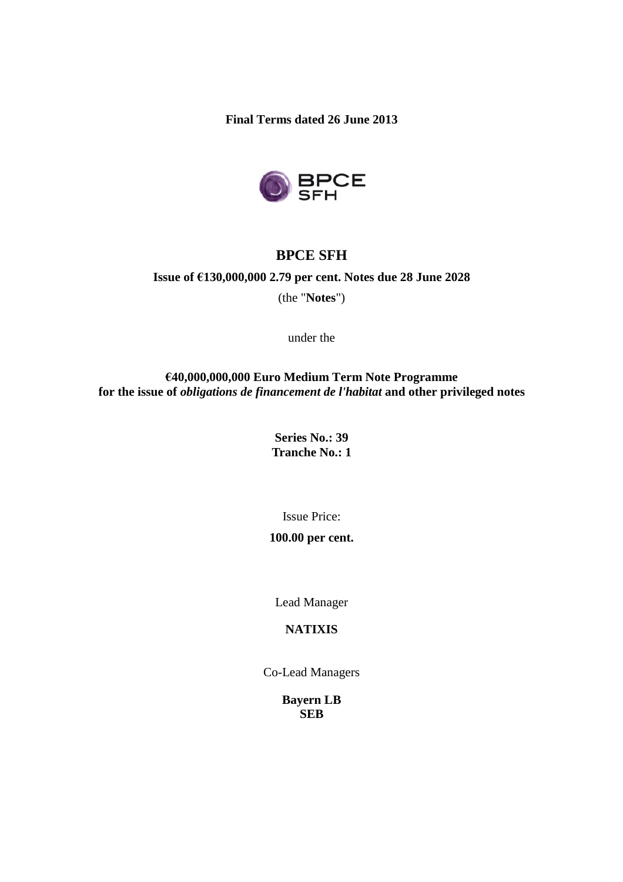**Final Terms dated 26 June 2013**



# **BPCE SFH**

# **Issue of €130,000,000 2.79 per cent. Notes due 28 June 2028**

(the "**Notes**")

under the

**€40,000,000,000 Euro Medium Term Note Programme for the issue of** *obligations de financement de l'habitat* **and other privileged notes**

> **Series No.: 39 Tranche No.: 1**

> > Issue Price:

### **100.00 per cent.**

Lead Manager

## **NATIXIS**

Co-Lead Managers

**Bayern LB SEB**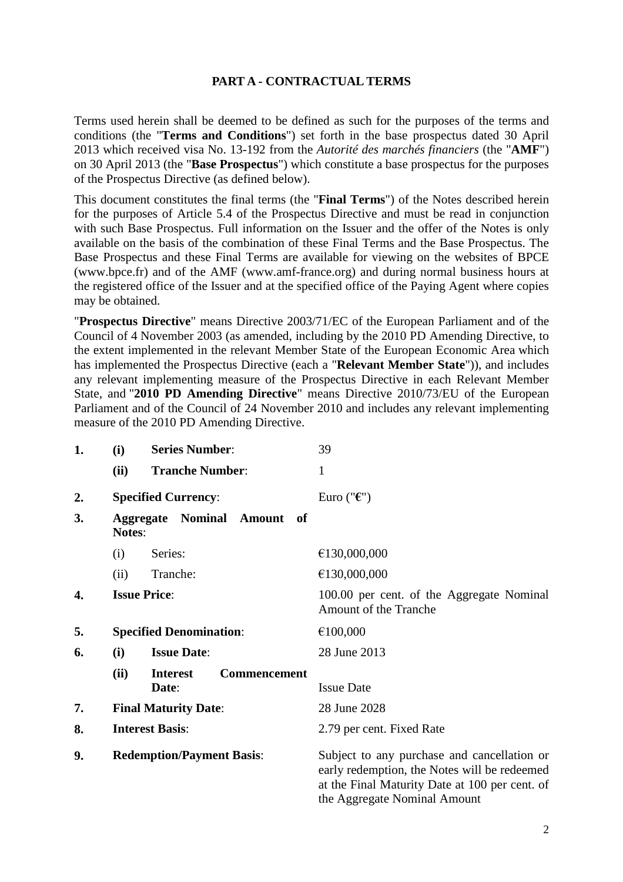### **PART A - CONTRACTUAL TERMS**

Terms used herein shall be deemed to be defined as such for the purposes of the terms and conditions (the "**Terms and Conditions**") set forth in the base prospectus dated 30 April 2013 which received visa No. 13-192 from the *Autorité des marchés financiers* (the "**AMF**") on 30 April 2013 (the "**Base Prospectus**") which constitute a base prospectus for the purposes of the Prospectus Directive (as defined below).

This document constitutes the final terms (the "**Final Terms**") of the Notes described herein for the purposes of Article 5.4 of the Prospectus Directive and must be read in conjunction with such Base Prospectus. Full information on the Issuer and the offer of the Notes is only available on the basis of the combination of these Final Terms and the Base Prospectus. The Base Prospectus and these Final Terms are available for viewing on the websites of BPCE (www.bpce.fr) and of the AMF (www.amf-france.org) and during normal business hours at the registered office of the Issuer and at the specified office of the Paying Agent where copies may be obtained.

"**Prospectus Directive**" means Directive 2003/71/EC of the European Parliament and of the Council of 4 November 2003 (as amended, including by the 2010 PD Amending Directive, to the extent implemented in the relevant Member State of the European Economic Area which has implemented the Prospectus Directive (each a "**Relevant Member State**")), and includes any relevant implementing measure of the Prospectus Directive in each Relevant Member State, and "**2010 PD Amending Directive**" means Directive 2010/73/EU of the European Parliament and of the Council of 24 November 2010 and includes any relevant implementing measure of the 2010 PD Amending Directive.

| 1. | (i)                              | <b>Series Number:</b>                           | 39                                                                                                                                                                            |
|----|----------------------------------|-------------------------------------------------|-------------------------------------------------------------------------------------------------------------------------------------------------------------------------------|
|    | (ii)                             | <b>Tranche Number:</b>                          | 1                                                                                                                                                                             |
| 2. |                                  | <b>Specified Currency:</b>                      | Euro (" $\epsilon$ ")                                                                                                                                                         |
| 3. | <b>Notes:</b>                    | Nominal Amount of<br><b>Aggregate</b>           |                                                                                                                                                                               |
|    | (i)                              | Series:                                         | €130,000,000                                                                                                                                                                  |
|    | (ii)                             | Tranche:                                        | €130,000,000                                                                                                                                                                  |
| 4. |                                  | <b>Issue Price:</b>                             | 100.00 per cent. of the Aggregate Nominal<br><b>Amount of the Tranche</b>                                                                                                     |
| 5. |                                  | <b>Specified Denomination:</b>                  | €100,000                                                                                                                                                                      |
| 6. | (i)                              | <b>Issue Date:</b>                              | 28 June 2013                                                                                                                                                                  |
|    | (ii)                             | <b>Interest</b><br><b>Commencement</b><br>Date: | <b>Issue Date</b>                                                                                                                                                             |
| 7. | <b>Final Maturity Date:</b>      |                                                 | 28 June 2028                                                                                                                                                                  |
| 8. | <b>Interest Basis:</b>           |                                                 | 2.79 per cent. Fixed Rate                                                                                                                                                     |
| 9. | <b>Redemption/Payment Basis:</b> |                                                 | Subject to any purchase and cancellation or<br>early redemption, the Notes will be redeemed<br>at the Final Maturity Date at 100 per cent. of<br>the Aggregate Nominal Amount |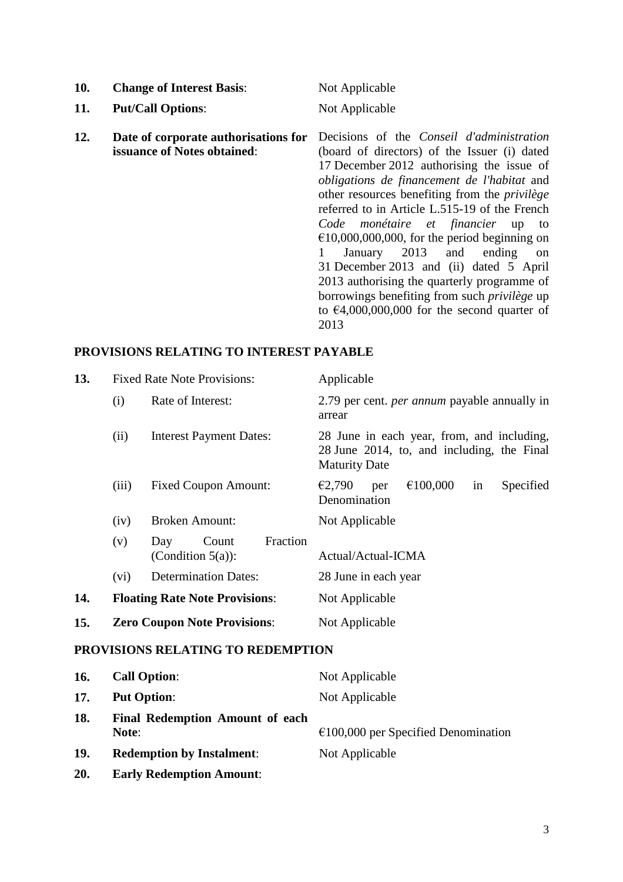| 10. | <b>Change of Interest Basis:</b>                                    | Not Applicable                                                                                                                                                                                                                                                                                                                                                                                                                                                                                                                                                                                                                                                |
|-----|---------------------------------------------------------------------|---------------------------------------------------------------------------------------------------------------------------------------------------------------------------------------------------------------------------------------------------------------------------------------------------------------------------------------------------------------------------------------------------------------------------------------------------------------------------------------------------------------------------------------------------------------------------------------------------------------------------------------------------------------|
| 11. | <b>Put/Call Options:</b>                                            | Not Applicable                                                                                                                                                                                                                                                                                                                                                                                                                                                                                                                                                                                                                                                |
| 12. | Date of corporate authorisations for<br>issuance of Notes obtained: | Decisions of the <i>Conseil d'administration</i><br>(board of directors) of the Issuer (i) dated<br>17 December 2012 authorising the issue of<br>obligations de financement de l'habitat and<br>other resources benefiting from the <i>privilège</i><br>referred to in Article L.515-19 of the French<br>Code monétaire et financier up<br>to<br>$\epsilon$ 10,000,000,000, for the period beginning on<br>January 2013 and<br>ending<br>on<br>31 December 2013 and (ii) dated 5 April<br>2013 authorising the quarterly programme of<br>borrowings benefiting from such <i>privilège</i> up<br>to $\epsilon$ 4,000,000,000 for the second quarter of<br>2013 |

# **PROVISIONS RELATING TO INTEREST PAYABLE**

| 13. | <b>Fixed Rate Note Provisions:</b>                                                                      |                                                  | Applicable                                                                                                       |
|-----|---------------------------------------------------------------------------------------------------------|--------------------------------------------------|------------------------------------------------------------------------------------------------------------------|
|     | (i)                                                                                                     | Rate of Interest:                                | 2.79 per cent. <i>per annum</i> payable annually in<br>arrear                                                    |
|     | (ii)                                                                                                    | <b>Interest Payment Dates:</b>                   | 28 June in each year, from, and including,<br>28 June 2014, to, and including, the Final<br><b>Maturity Date</b> |
|     | (iii)                                                                                                   | <b>Fixed Coupon Amount:</b>                      | €100,000<br>€2,790<br>Specified<br>per<br>in<br>Denomination                                                     |
|     | (iv)                                                                                                    | <b>Broken Amount:</b>                            | Not Applicable                                                                                                   |
|     | (v)                                                                                                     | Fraction<br>Day<br>Count<br>(Condition $5(a)$ ): | Actual/Actual-ICMA                                                                                               |
|     | (vi)                                                                                                    | <b>Determination Dates:</b>                      | 28 June in each year                                                                                             |
| 14. |                                                                                                         | <b>Floating Rate Note Provisions:</b>            | Not Applicable                                                                                                   |
| 15. | <b>Zero Coupon Note Provisions:</b>                                                                     |                                                  | Not Applicable                                                                                                   |
|     |                                                                                                         | PROVISIONS RELATING TO REDEMPTION                |                                                                                                                  |
| 16. | <b>Call Option:</b>                                                                                     |                                                  | Not Applicable                                                                                                   |
| 17  | $\mathbf{D}_{\mathbf{u}}$ $\mathbf{D}_{\mathbf{u}}$ $\mathbf{D}_{\mathbf{u}}$ $\mathbf{D}_{\mathbf{u}}$ |                                                  | Not Applicable                                                                                                   |

| <b>Put Option:</b>                              | Not Applicable                                |
|-------------------------------------------------|-----------------------------------------------|
| <b>Final Redemption Amount of each</b><br>Note: | $\epsilon$ 100,000 per Specified Denomination |
| <b>Redemption by Instalment:</b>                | Not Applicable                                |
|                                                 |                                               |

**20. Early Redemption Amount**: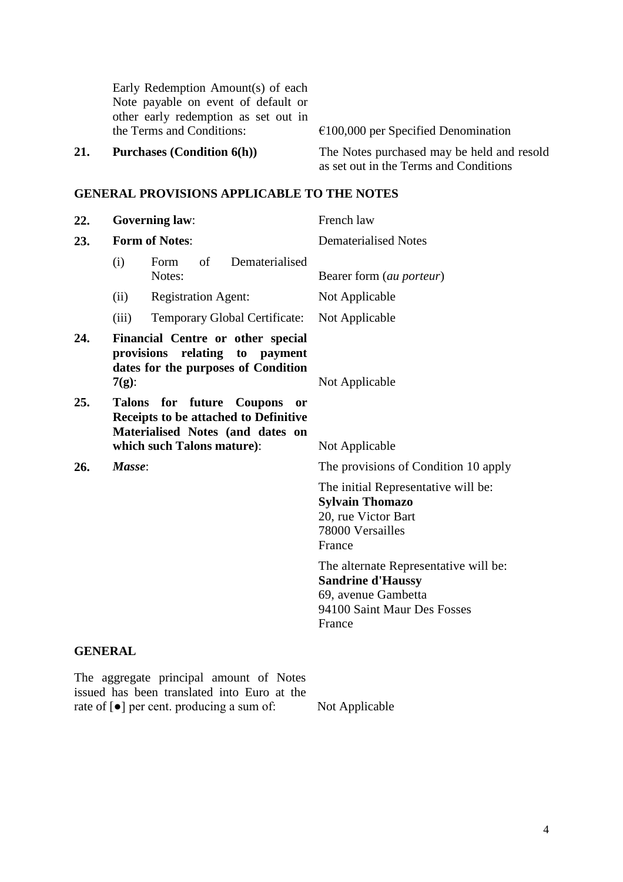Early Redemption Amount(s) of each Note payable on event of default or other early redemption as set out in the Terms and Conditions: €100,000 per Specified Denomination

**21. Purchases (Condition 6(h))** The Notes purchased may be held and resold as set out in the Terms and Conditions

### **GENERAL PROVISIONS APPLICABLE TO THE NOTES**

| 22.            | <b>Governing law:</b>                                                                                                     |                                                                                                                                                | French law                                                                                                                        |
|----------------|---------------------------------------------------------------------------------------------------------------------------|------------------------------------------------------------------------------------------------------------------------------------------------|-----------------------------------------------------------------------------------------------------------------------------------|
| 23.            |                                                                                                                           | <b>Form of Notes:</b>                                                                                                                          | <b>Dematerialised Notes</b>                                                                                                       |
|                | (i)                                                                                                                       | of<br>Dematerialised<br>Form<br>Notes:                                                                                                         | Bearer form (au porteur)                                                                                                          |
|                | (ii)                                                                                                                      | <b>Registration Agent:</b>                                                                                                                     | Not Applicable                                                                                                                    |
|                | (iii)                                                                                                                     | Temporary Global Certificate:                                                                                                                  | Not Applicable                                                                                                                    |
| 24.            | Financial Centre or other special<br>provisions relating<br>to payment<br>dates for the purposes of Condition<br>$7(g)$ : |                                                                                                                                                | Not Applicable                                                                                                                    |
| 25.            | <b>Talons</b>                                                                                                             | for future Coupons<br><sub>or</sub><br>Receipts to be attached to Definitive<br>Materialised Notes (and dates on<br>which such Talons mature): | Not Applicable                                                                                                                    |
| 26.            | Masse:                                                                                                                    |                                                                                                                                                | The provisions of Condition 10 apply                                                                                              |
|                |                                                                                                                           |                                                                                                                                                | The initial Representative will be:<br><b>Sylvain Thomazo</b><br>20, rue Victor Bart<br>78000 Versailles<br>France                |
|                |                                                                                                                           |                                                                                                                                                | The alternate Representative will be:<br><b>Sandrine d'Haussy</b><br>69, avenue Gambetta<br>94100 Saint Maur Des Fosses<br>France |
| <b>GENERAL</b> |                                                                                                                           |                                                                                                                                                |                                                                                                                                   |

The aggregate principal amount of Notes issued has been translated into Euro at the rate of [●] per cent. producing a sum of: Not Applicable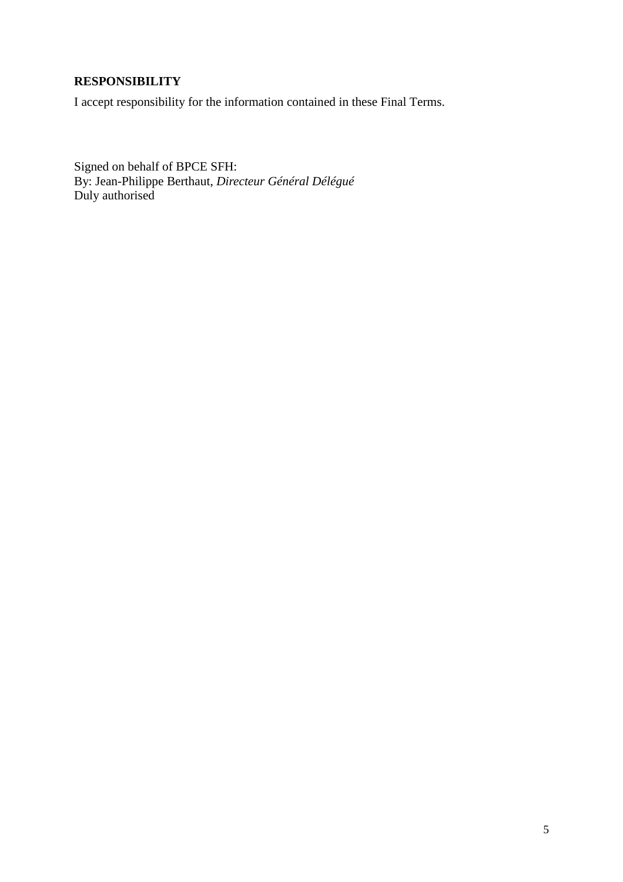# **RESPONSIBILITY**

I accept responsibility for the information contained in these Final Terms.

Signed on behalf of BPCE SFH: By: Jean-Philippe Berthaut, *Directeur Général Délégué* Duly authorised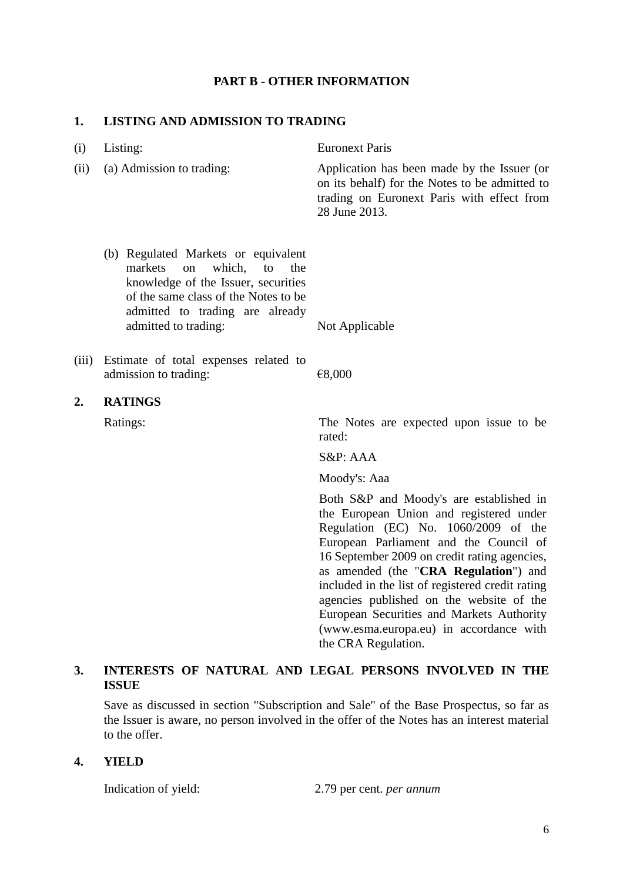#### **PART B - OTHER INFORMATION**

#### **1. LISTING AND ADMISSION TO TRADING**

| (i)   | Listing:                                                                                                                                                                                                                    | <b>Euronext Paris</b>                                                                                                                                        |
|-------|-----------------------------------------------------------------------------------------------------------------------------------------------------------------------------------------------------------------------------|--------------------------------------------------------------------------------------------------------------------------------------------------------------|
| (ii)  | (a) Admission to trading:                                                                                                                                                                                                   | Application has been made by the Issuer (or<br>on its behalf) for the Notes to be admitted to<br>trading on Euronext Paris with effect from<br>28 June 2013. |
|       | (b) Regulated Markets or equivalent<br>markets<br>which,<br>the<br>$\alpha$<br>to<br>knowledge of the Issuer, securities<br>of the same class of the Notes to be<br>admitted to trading are already<br>admitted to trading: | Not Applicable                                                                                                                                               |
| (iii) | Estimate of total expenses related to<br>admission to trading:                                                                                                                                                              | €8,000                                                                                                                                                       |
| 2.    | <b>RATINGS</b>                                                                                                                                                                                                              |                                                                                                                                                              |
|       | Ratings:                                                                                                                                                                                                                    | The Notes are expected upon issue to be<br>rated:                                                                                                            |
|       |                                                                                                                                                                                                                             | $S\&P: AAA$                                                                                                                                                  |
|       |                                                                                                                                                                                                                             | Moody's: Aaa                                                                                                                                                 |
|       |                                                                                                                                                                                                                             | Both S&P and Moody's are established in<br>the European Union and registered under<br>Regulation (EC) No. 1060/2009 of the                                   |

## **3. INTERESTS OF NATURAL AND LEGAL PERSONS INVOLVED IN THE ISSUE**

Save as discussed in section "Subscription and Sale" of the Base Prospectus, so far as the Issuer is aware, no person involved in the offer of the Notes has an interest material to the offer.

#### **4. YIELD**

Indication of yield: 2.79 per cent. *per annum*

the CRA Regulation.

European Parliament and the Council of 16 September 2009 on credit rating agencies, as amended (the "**CRA Regulation**") and included in the list of registered credit rating agencies published on the website of the European Securities and Markets Authority (www.esma.europa.eu) in accordance with